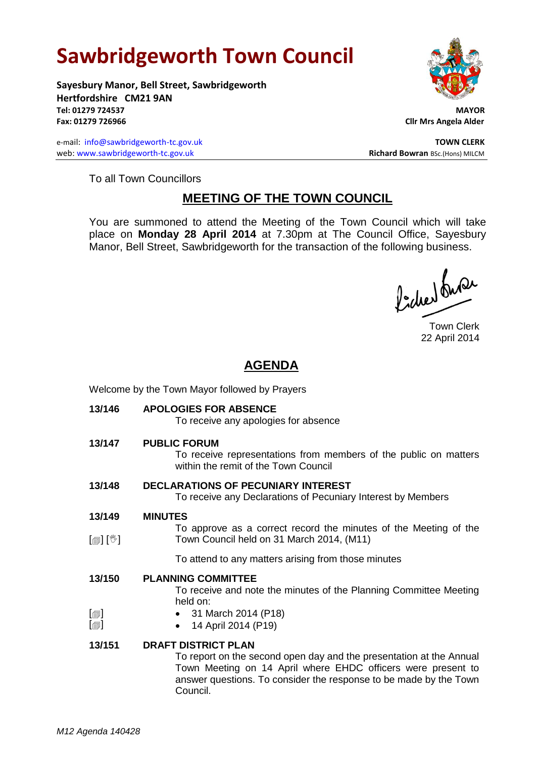# **Sawbridgeworth Town Council**

**Sayesbury Manor, Bell Street, Sawbridgeworth Hertfordshire CM21 9AN Tel: 01279 724537 MAYOR Fax: 01279 726966 Cllr Mrs Angela Alder**

e-mail: [info@sawbridgeworth-tc.gov.uk](mailto:info@sawbridgeworth-tc.gov.uk) **TOWN CLERK TOWN CLERK** web: www.sawbridgeworth-tc.gov.uk **Richard Bowran** BSc.(Hons) MILCM



To all Town Councillors

## **MEETING OF THE TOWN COUNCIL**

You are summoned to attend the Meeting of the Town Council which will take place on **Monday 28 April 2014** at 7.30pm at The Council Office, Sayesbury Manor, Bell Street, Sawbridgeworth for the transaction of the following business.

Picked buran

Town Clerk 22 April 2014

## **AGENDA**

| Welcome by the Town Mayor followed by Prayers |                                                                                                                                                                                                                                        |
|-----------------------------------------------|----------------------------------------------------------------------------------------------------------------------------------------------------------------------------------------------------------------------------------------|
| 13/146                                        | <b>APOLOGIES FOR ABSENCE</b><br>To receive any apologies for absence                                                                                                                                                                   |
| 13/147                                        | <b>PUBLIC FORUM</b><br>To receive representations from members of the public on matters<br>within the remit of the Town Council                                                                                                        |
| 13/148                                        | <b>DECLARATIONS OF PECUNIARY INTEREST</b><br>To receive any Declarations of Pecuniary Interest by Members                                                                                                                              |
| 13/149<br>$\mathbb{D}[\mathbb{D}^1]$          | <b>MINUTES</b><br>To approve as a correct record the minutes of the Meeting of the<br>Town Council held on 31 March 2014, (M11)                                                                                                        |
|                                               | To attend to any matters arising from those minutes                                                                                                                                                                                    |
| 13/150                                        | <b>PLANNING COMMITTEE</b><br>To receive and note the minutes of the Planning Committee Meeting<br>held on:                                                                                                                             |
| $[\blacksquare]$<br>$\lbrack \oplus \rbrack$  | • 31 March 2014 (P18)<br>14 April 2014 (P19)                                                                                                                                                                                           |
| 13/151                                        | <b>DRAFT DISTRICT PLAN</b><br>To report on the second open day and the presentation at the Annual<br>Town Meeting on 14 April where EHDC officers were present to<br>answer questions. To consider the response to be made by the Town |

Council.